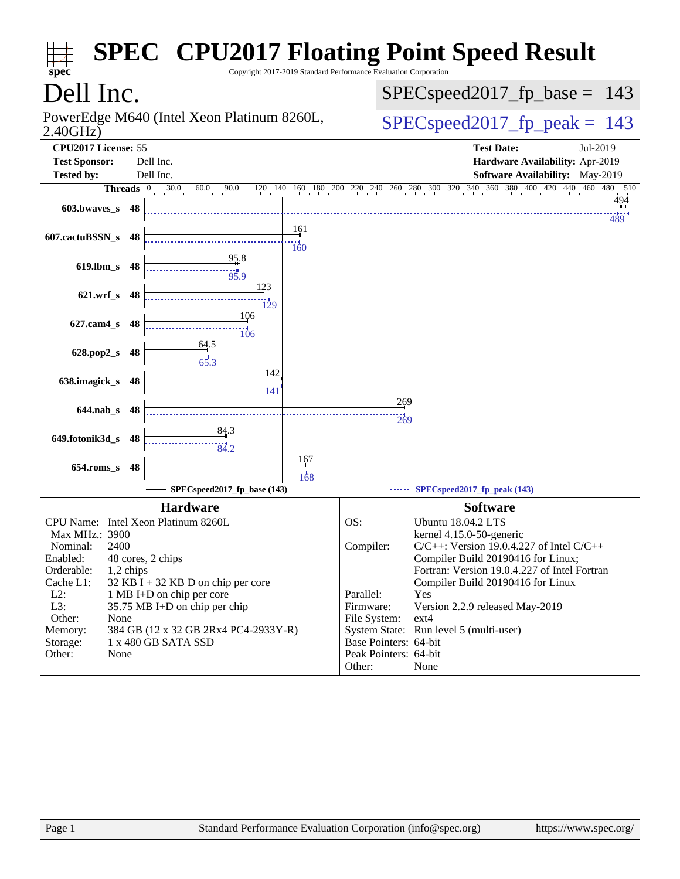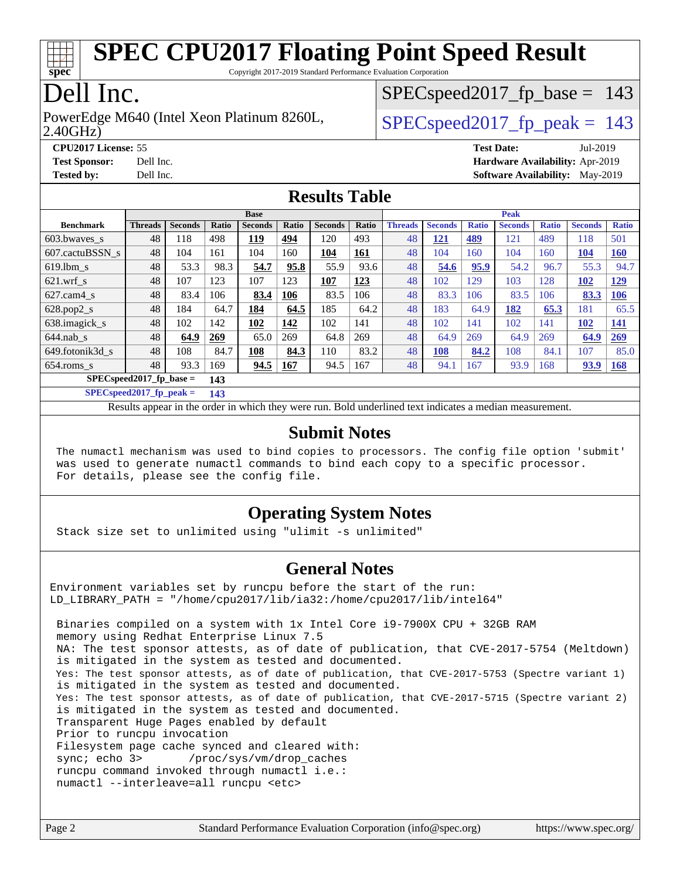

Copyright 2017-2019 Standard Performance Evaluation Corporation

## Dell Inc.

2.40GHz) PowerEdge M640 (Intel Xeon Platinum 8260L,  $\vert$  SPECspeed2017 fp\_peak = 143

SPECspeed2017 fp base =  $143$ 

**[CPU2017 License:](http://www.spec.org/auto/cpu2017/Docs/result-fields.html#CPU2017License)** 55 **[Test Date:](http://www.spec.org/auto/cpu2017/Docs/result-fields.html#TestDate)** Jul-2019 **[Test Sponsor:](http://www.spec.org/auto/cpu2017/Docs/result-fields.html#TestSponsor)** Dell Inc. **[Hardware Availability:](http://www.spec.org/auto/cpu2017/Docs/result-fields.html#HardwareAvailability)** Apr-2019 **[Tested by:](http://www.spec.org/auto/cpu2017/Docs/result-fields.html#Testedby)** Dell Inc. **[Software Availability:](http://www.spec.org/auto/cpu2017/Docs/result-fields.html#SoftwareAvailability)** May-2019

#### **[Results Table](http://www.spec.org/auto/cpu2017/Docs/result-fields.html#ResultsTable)**

|                           | <b>Base</b>    |                |       |                |              |                |            | <b>Peak</b>    |                |              |                |              |                |              |
|---------------------------|----------------|----------------|-------|----------------|--------------|----------------|------------|----------------|----------------|--------------|----------------|--------------|----------------|--------------|
| <b>Benchmark</b>          | <b>Threads</b> | <b>Seconds</b> | Ratio | <b>Seconds</b> | <b>Ratio</b> | <b>Seconds</b> | Ratio      | <b>Threads</b> | <b>Seconds</b> | <b>Ratio</b> | <b>Seconds</b> | <b>Ratio</b> | <b>Seconds</b> | <b>Ratio</b> |
| 603.bwaves_s              | 48             | 118            | 498   | 119            | 494          | 120            | 493        | 48             | <u> 121</u>    | 489          | 121            | 489          | 118            | 501          |
| 607.cactuBSSN s           | 48             | 104            | 161   | 104            | 160          | 104            | <b>161</b> | 48             | 104            | 160          | 104            | 160          | <b>104</b>     | 160          |
| $619.1$ bm s              | 48             | 53.3           | 98.3  | 54.7           | 95.8         | 55.9           | 93.6       | 48             | 54.6           | 95.9         | 54.2           | 96.7         | 55.3           | 94.7         |
| $621$ .wrf s              | 48             | 107            | 123   | 107            | 123          | 107            | 123        | 48             | 102            | 129          | 103            | 128          | 102            | <u>129</u>   |
| $627$ .cam4 s             | 48             | 83.4           | 106   | 83.4           | 106          | 83.5           | 106        | 48             | 83.3           | 106          | 83.5           | 106          | 83.3           | 106          |
| $628.pop2_s$              | 48             | 184            | 64.7  | 184            | 64.5         | 185            | 64.2       | 48             | 183            | 64.9         | 182            | 65.3         | 181            | 65.5         |
| 638.imagick_s             | 48             | 102            | 142   | 102            | 142          | 102            | 141        | 48             | 102            | 141          | 102            | 141          | 102            | <b>141</b>   |
| $644$ .nab s              | 48             | 64.9           | 269   | 65.0           | 269          | 64.8           | 269        | 48             | 64.9           | 269          | 64.9           | 269          | 64.9           | 269          |
| 649.fotonik3d s           | 48             | 108            | 84.7  | 108            | 84.3         | 110            | 83.2       | 48             | <b>108</b>     | 84.2         | 108            | 84.1         | 107            | 85.0         |
| $654$ .roms s             | 48             | 93.3           | 169   | 94.5           | <b>167</b>   | 94.5           | 167        | 48             | 94.1           | 167          | 93.9           | 168          | 93.9           | <b>168</b>   |
| $SPECspeed2017$ fp base = |                |                | 143   |                |              |                |            |                |                |              |                |              |                |              |

**[SPECspeed2017\\_fp\\_peak =](http://www.spec.org/auto/cpu2017/Docs/result-fields.html#SPECspeed2017fppeak) 143**

Results appear in the [order in which they were run.](http://www.spec.org/auto/cpu2017/Docs/result-fields.html#RunOrder) Bold underlined text [indicates a median measurement](http://www.spec.org/auto/cpu2017/Docs/result-fields.html#Median).

#### **[Submit Notes](http://www.spec.org/auto/cpu2017/Docs/result-fields.html#SubmitNotes)**

 The numactl mechanism was used to bind copies to processors. The config file option 'submit' was used to generate numactl commands to bind each copy to a specific processor. For details, please see the config file.

#### **[Operating System Notes](http://www.spec.org/auto/cpu2017/Docs/result-fields.html#OperatingSystemNotes)**

Stack size set to unlimited using "ulimit -s unlimited"

#### **[General Notes](http://www.spec.org/auto/cpu2017/Docs/result-fields.html#GeneralNotes)**

Environment variables set by runcpu before the start of the run: LD LIBRARY PATH = "/home/cpu2017/lib/ia32:/home/cpu2017/lib/intel64"

 Binaries compiled on a system with 1x Intel Core i9-7900X CPU + 32GB RAM memory using Redhat Enterprise Linux 7.5 NA: The test sponsor attests, as of date of publication, that CVE-2017-5754 (Meltdown) is mitigated in the system as tested and documented. Yes: The test sponsor attests, as of date of publication, that CVE-2017-5753 (Spectre variant 1) is mitigated in the system as tested and documented. Yes: The test sponsor attests, as of date of publication, that CVE-2017-5715 (Spectre variant 2) is mitigated in the system as tested and documented. Transparent Huge Pages enabled by default Prior to runcpu invocation Filesystem page cache synced and cleared with: sync; echo 3> /proc/sys/vm/drop\_caches runcpu command invoked through numactl i.e.: numactl --interleave=all runcpu <etc>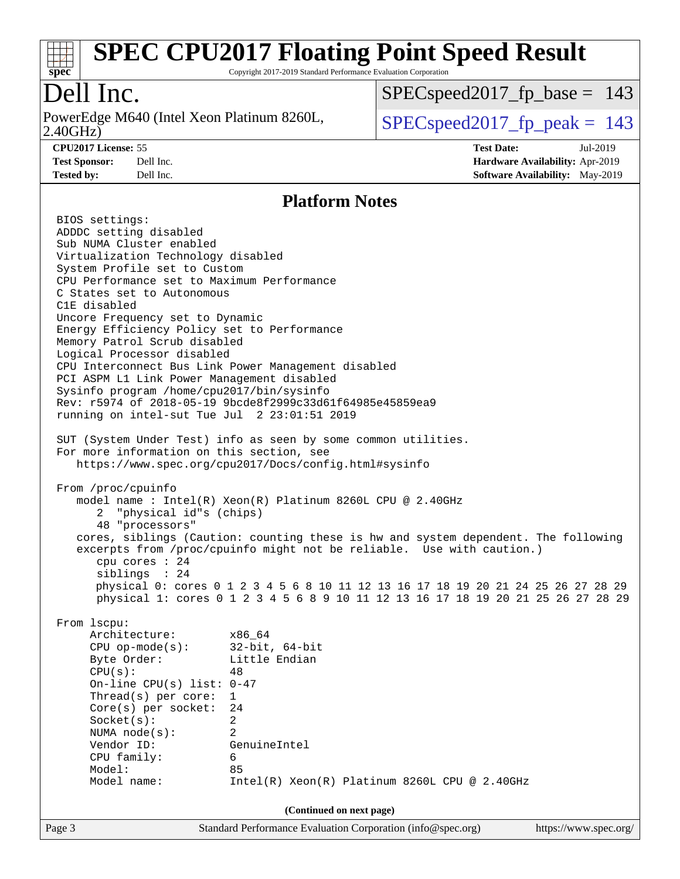

Copyright 2017-2019 Standard Performance Evaluation Corporation

## Dell Inc.

2.40GHz) PowerEdge M640 (Intel Xeon Platinum 8260L,  $\vert$  SPECspeed2017 fp\_peak = 143

SPECspeed2017 fp base =  $143$ 

**[CPU2017 License:](http://www.spec.org/auto/cpu2017/Docs/result-fields.html#CPU2017License)** 55 **[Test Date:](http://www.spec.org/auto/cpu2017/Docs/result-fields.html#TestDate)** Jul-2019 **[Test Sponsor:](http://www.spec.org/auto/cpu2017/Docs/result-fields.html#TestSponsor)** Dell Inc. **[Hardware Availability:](http://www.spec.org/auto/cpu2017/Docs/result-fields.html#HardwareAvailability)** Apr-2019 **[Tested by:](http://www.spec.org/auto/cpu2017/Docs/result-fields.html#Testedby)** Dell Inc. **[Software Availability:](http://www.spec.org/auto/cpu2017/Docs/result-fields.html#SoftwareAvailability)** May-2019

#### **[Platform Notes](http://www.spec.org/auto/cpu2017/Docs/result-fields.html#PlatformNotes)**

Page 3 Standard Performance Evaluation Corporation [\(info@spec.org\)](mailto:info@spec.org) <https://www.spec.org/> BIOS settings: ADDDC setting disabled Sub NUMA Cluster enabled Virtualization Technology disabled System Profile set to Custom CPU Performance set to Maximum Performance C States set to Autonomous C1E disabled Uncore Frequency set to Dynamic Energy Efficiency Policy set to Performance Memory Patrol Scrub disabled Logical Processor disabled CPU Interconnect Bus Link Power Management disabled PCI ASPM L1 Link Power Management disabled Sysinfo program /home/cpu2017/bin/sysinfo Rev: r5974 of 2018-05-19 9bcde8f2999c33d61f64985e45859ea9 running on intel-sut Tue Jul 2 23:01:51 2019 SUT (System Under Test) info as seen by some common utilities. For more information on this section, see <https://www.spec.org/cpu2017/Docs/config.html#sysinfo> From /proc/cpuinfo model name : Intel(R) Xeon(R) Platinum 8260L CPU @ 2.40GHz 2 "physical id"s (chips) 48 "processors" cores, siblings (Caution: counting these is hw and system dependent. The following excerpts from /proc/cpuinfo might not be reliable. Use with caution.) cpu cores : 24 siblings : 24 physical 0: cores 0 1 2 3 4 5 6 8 10 11 12 13 16 17 18 19 20 21 24 25 26 27 28 29 physical 1: cores 0 1 2 3 4 5 6 8 9 10 11 12 13 16 17 18 19 20 21 25 26 27 28 29 From lscpu: Architecture: x86\_64 CPU op-mode(s): 32-bit, 64-bit Byte Order: Little Endian  $CPU(s):$  48 On-line CPU(s) list: 0-47 Thread(s) per core: 1 Core(s) per socket: 24 Socket(s): 2 NUMA node(s): 2 Vendor ID: GenuineIntel CPU family: 6 Model: 85 Model name: Intel(R) Xeon(R) Platinum 8260L CPU @ 2.40GHz **(Continued on next page)**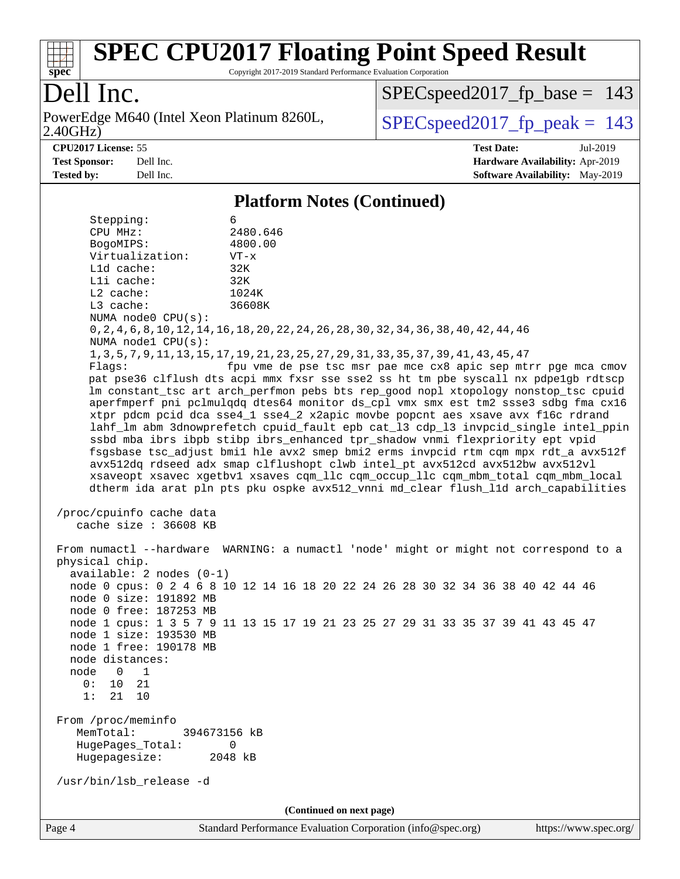

Copyright 2017-2019 Standard Performance Evaluation Corporation

## Dell Inc.

2.40GHz) PowerEdge M640 (Intel Xeon Platinum 8260L,  $\vert$  SPECspeed2017 fp\_peak = 143

SPECspeed2017 fp base =  $143$ 

**[CPU2017 License:](http://www.spec.org/auto/cpu2017/Docs/result-fields.html#CPU2017License)** 55 **[Test Date:](http://www.spec.org/auto/cpu2017/Docs/result-fields.html#TestDate)** Jul-2019 **[Test Sponsor:](http://www.spec.org/auto/cpu2017/Docs/result-fields.html#TestSponsor)** Dell Inc. **[Hardware Availability:](http://www.spec.org/auto/cpu2017/Docs/result-fields.html#HardwareAvailability)** Apr-2019 **[Tested by:](http://www.spec.org/auto/cpu2017/Docs/result-fields.html#Testedby)** Dell Inc. **[Software Availability:](http://www.spec.org/auto/cpu2017/Docs/result-fields.html#SoftwareAvailability)** May-2019

#### **[Platform Notes \(Continued\)](http://www.spec.org/auto/cpu2017/Docs/result-fields.html#PlatformNotes)**

 Stepping: 6 CPU MHz: 2480.646 BogoMIPS: 4800.00 Virtualization: VT-x L1d cache: 32K L1i cache: 32K L2 cache: 1024K L3 cache: 36608K NUMA node0 CPU(s): 0,2,4,6,8,10,12,14,16,18,20,22,24,26,28,30,32,34,36,38,40,42,44,46 NUMA node1 CPU(s): 1,3,5,7,9,11,13,15,17,19,21,23,25,27,29,31,33,35,37,39,41,43,45,47 Flags: fpu vme de pse tsc msr pae mce cx8 apic sep mtrr pge mca cmov pat pse36 clflush dts acpi mmx fxsr sse sse2 ss ht tm pbe syscall nx pdpe1gb rdtscp lm constant\_tsc art arch\_perfmon pebs bts rep\_good nopl xtopology nonstop\_tsc cpuid aperfmperf pni pclmulqdq dtes64 monitor ds\_cpl vmx smx est tm2 ssse3 sdbg fma cx16 xtpr pdcm pcid dca sse4\_1 sse4\_2 x2apic movbe popcnt aes xsave avx f16c rdrand lahf\_lm abm 3dnowprefetch cpuid\_fault epb cat\_l3 cdp\_l3 invpcid\_single intel\_ppin ssbd mba ibrs ibpb stibp ibrs\_enhanced tpr\_shadow vnmi flexpriority ept vpid fsgsbase tsc\_adjust bmi1 hle avx2 smep bmi2 erms invpcid rtm cqm mpx rdt\_a avx512f avx512dq rdseed adx smap clflushopt clwb intel\_pt avx512cd avx512bw avx512vl xsaveopt xsavec xgetbv1 xsaves cqm\_llc cqm\_occup\_llc cqm\_mbm\_total cqm\_mbm\_local dtherm ida arat pln pts pku ospke avx512\_vnni md\_clear flush\_l1d arch\_capabilities /proc/cpuinfo cache data cache size : 36608 KB From numactl --hardware WARNING: a numactl 'node' might or might not correspond to a physical chip. available: 2 nodes (0-1) node 0 cpus: 0 2 4 6 8 10 12 14 16 18 20 22 24 26 28 30 32 34 36 38 40 42 44 46 node 0 size: 191892 MB node 0 free: 187253 MB node 1 cpus: 1 3 5 7 9 11 13 15 17 19 21 23 25 27 29 31 33 35 37 39 41 43 45 47 node 1 size: 193530 MB node 1 free: 190178 MB node distances: node 0 1 0: 10 21 1: 21 10 From /proc/meminfo MemTotal: 394673156 kB HugePages\_Total: 0 Hugepagesize: 2048 kB /usr/bin/lsb\_release -d **(Continued on next page)**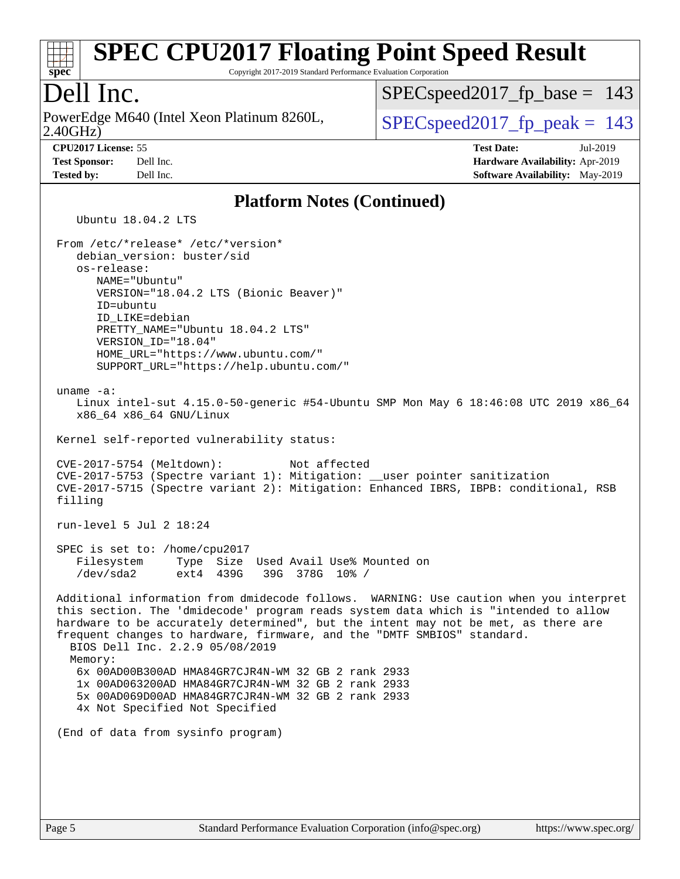

Copyright 2017-2019 Standard Performance Evaluation Corporation

### Dell Inc.

2.40GHz) PowerEdge M640 (Intel Xeon Platinum 8260L,  $\vert$  SPECspeed2017 fp\_peak = 143

 $SPEC speed2017_fp\_base = 143$ 

**[Tested by:](http://www.spec.org/auto/cpu2017/Docs/result-fields.html#Testedby)** Dell Inc. **[Software Availability:](http://www.spec.org/auto/cpu2017/Docs/result-fields.html#SoftwareAvailability)** May-2019

**[CPU2017 License:](http://www.spec.org/auto/cpu2017/Docs/result-fields.html#CPU2017License)** 55 **[Test Date:](http://www.spec.org/auto/cpu2017/Docs/result-fields.html#TestDate)** Jul-2019 **[Test Sponsor:](http://www.spec.org/auto/cpu2017/Docs/result-fields.html#TestSponsor)** Dell Inc. **[Hardware Availability:](http://www.spec.org/auto/cpu2017/Docs/result-fields.html#HardwareAvailability)** Apr-2019

#### **[Platform Notes \(Continued\)](http://www.spec.org/auto/cpu2017/Docs/result-fields.html#PlatformNotes)**

Ubuntu 18.04.2 LTS

 From /etc/\*release\* /etc/\*version\* debian\_version: buster/sid os-release: NAME="Ubuntu" VERSION="18.04.2 LTS (Bionic Beaver)" ID=ubuntu ID\_LIKE=debian PRETTY\_NAME="Ubuntu 18.04.2 LTS" VERSION\_ID="18.04" HOME\_URL="<https://www.ubuntu.com/"> SUPPORT\_URL="<https://help.ubuntu.com/"> uname -a: Linux intel-sut 4.15.0-50-generic #54-Ubuntu SMP Mon May 6 18:46:08 UTC 2019 x86\_64 x86\_64 x86\_64 GNU/Linux Kernel self-reported vulnerability status: CVE-2017-5754 (Meltdown): Not affected CVE-2017-5753 (Spectre variant 1): Mitigation: \_\_user pointer sanitization CVE-2017-5715 (Spectre variant 2): Mitigation: Enhanced IBRS, IBPB: conditional, RSB filling run-level 5 Jul 2 18:24 SPEC is set to: /home/cpu2017 Filesystem Type Size Used Avail Use% Mounted on /dev/sda2 ext4 439G 39G 378G 10% / Additional information from dmidecode follows. WARNING: Use caution when you interpret this section. The 'dmidecode' program reads system data which is "intended to allow hardware to be accurately determined", but the intent may not be met, as there are frequent changes to hardware, firmware, and the "DMTF SMBIOS" standard. BIOS Dell Inc. 2.2.9 05/08/2019 Memory: 6x 00AD00B300AD HMA84GR7CJR4N-WM 32 GB 2 rank 2933 1x 00AD063200AD HMA84GR7CJR4N-WM 32 GB 2 rank 2933 5x 00AD069D00AD HMA84GR7CJR4N-WM 32 GB 2 rank 2933 4x Not Specified Not Specified (End of data from sysinfo program)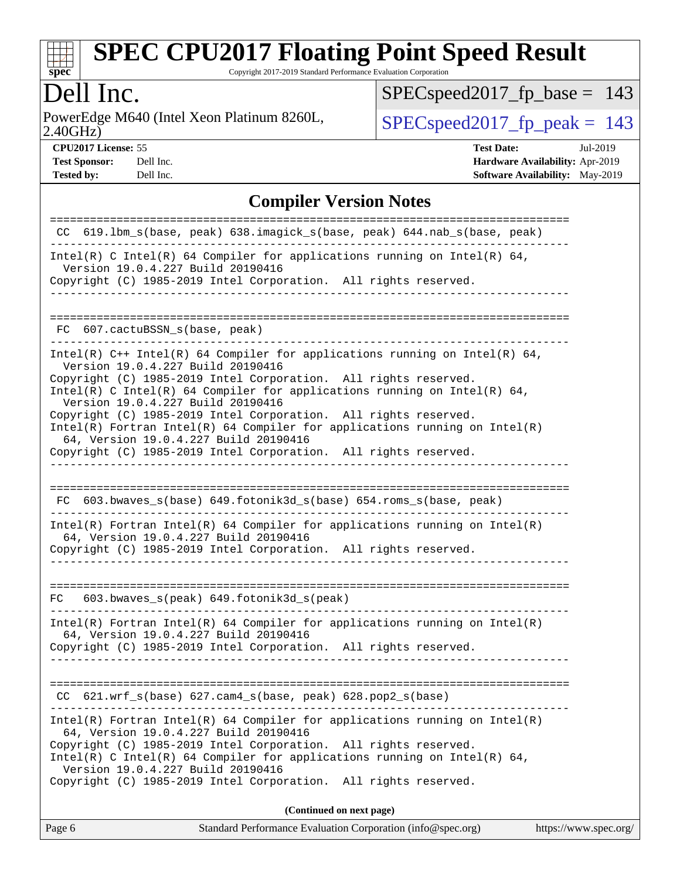

Copyright 2017-2019 Standard Performance Evaluation Corporation

## Dell Inc.

2.40GHz) PowerEdge M640 (Intel Xeon Platinum 8260L,  $\sum_{\text{SPEC speed2017\_fp\_peak}} 143$ 

[SPECspeed2017\\_fp\\_base =](http://www.spec.org/auto/cpu2017/Docs/result-fields.html#SPECspeed2017fpbase) 143

**[CPU2017 License:](http://www.spec.org/auto/cpu2017/Docs/result-fields.html#CPU2017License)** 55 **[Test Date:](http://www.spec.org/auto/cpu2017/Docs/result-fields.html#TestDate)** Jul-2019 **[Test Sponsor:](http://www.spec.org/auto/cpu2017/Docs/result-fields.html#TestSponsor)** Dell Inc. **[Hardware Availability:](http://www.spec.org/auto/cpu2017/Docs/result-fields.html#HardwareAvailability)** Apr-2019 **[Tested by:](http://www.spec.org/auto/cpu2017/Docs/result-fields.html#Testedby)** Dell Inc. Dell Inc. **[Software Availability:](http://www.spec.org/auto/cpu2017/Docs/result-fields.html#SoftwareAvailability)** May-2019

#### **[Compiler Version Notes](http://www.spec.org/auto/cpu2017/Docs/result-fields.html#CompilerVersionNotes)**

| Standard Performance Evaluation Corporation (info@spec.org)<br>https://www.spec.org/<br>Page 6                                                                                                                                                                                               |
|----------------------------------------------------------------------------------------------------------------------------------------------------------------------------------------------------------------------------------------------------------------------------------------------|
| (Continued on next page)                                                                                                                                                                                                                                                                     |
| 64, Version 19.0.4.227 Build 20190416<br>Copyright (C) 1985-2019 Intel Corporation. All rights reserved.<br>Intel(R) C Intel(R) 64 Compiler for applications running on Intel(R) 64,<br>Version 19.0.4.227 Build 20190416<br>Copyright (C) 1985-2019 Intel Corporation. All rights reserved. |
| $Intel(R)$ Fortran Intel(R) 64 Compiler for applications running on Intel(R)                                                                                                                                                                                                                 |
| CC 621.wrf_s(base) 627.cam4_s(base, peak) 628.pop2_s(base)                                                                                                                                                                                                                                   |
| Copyright (C) 1985-2019 Intel Corporation. All rights reserved.                                                                                                                                                                                                                              |
| Intel(R) Fortran Intel(R) 64 Compiler for applications running on Intel(R)<br>64, Version 19.0.4.227 Build 20190416                                                                                                                                                                          |
| 603.bwaves_s(peak) 649.fotonik3d_s(peak)<br>FC.                                                                                                                                                                                                                                              |
| $Intel(R)$ Fortran Intel(R) 64 Compiler for applications running on Intel(R)<br>64, Version 19.0.4.227 Build 20190416<br>Copyright (C) 1985-2019 Intel Corporation. All rights reserved.                                                                                                     |
| FC 603.bwaves_s(base) 649.fotonik3d_s(base) 654.roms_s(base, peak)                                                                                                                                                                                                                           |
|                                                                                                                                                                                                                                                                                              |
| 64, Version 19.0.4.227 Build 20190416<br>Copyright (C) 1985-2019 Intel Corporation. All rights reserved.                                                                                                                                                                                     |
| Copyright (C) 1985-2019 Intel Corporation. All rights reserved.<br>$Intel(R)$ Fortran Intel(R) 64 Compiler for applications running on Intel(R)                                                                                                                                              |
| Version 19.0.4.227 Build 20190416<br>Copyright (C) 1985-2019 Intel Corporation. All rights reserved.<br>Intel(R) C Intel(R) 64 Compiler for applications running on Intel(R) 64,<br>Version 19.0.4.227 Build 20190416                                                                        |
| $Intel(R)$ C++ Intel(R) 64 Compiler for applications running on Intel(R) 64,                                                                                                                                                                                                                 |
| 607.cactuBSSN_s(base, peak)<br>FC.                                                                                                                                                                                                                                                           |
| Version 19.0.4.227 Build 20190416<br>Copyright (C) 1985-2019 Intel Corporation. All rights reserved.                                                                                                                                                                                         |
| Intel(R) C Intel(R) 64 Compiler for applications running on Intel(R) 64,                                                                                                                                                                                                                     |
| CC 619.1bm_s(base, peak) 638.imagick_s(base, peak) 644.nab_s(base, peak)                                                                                                                                                                                                                     |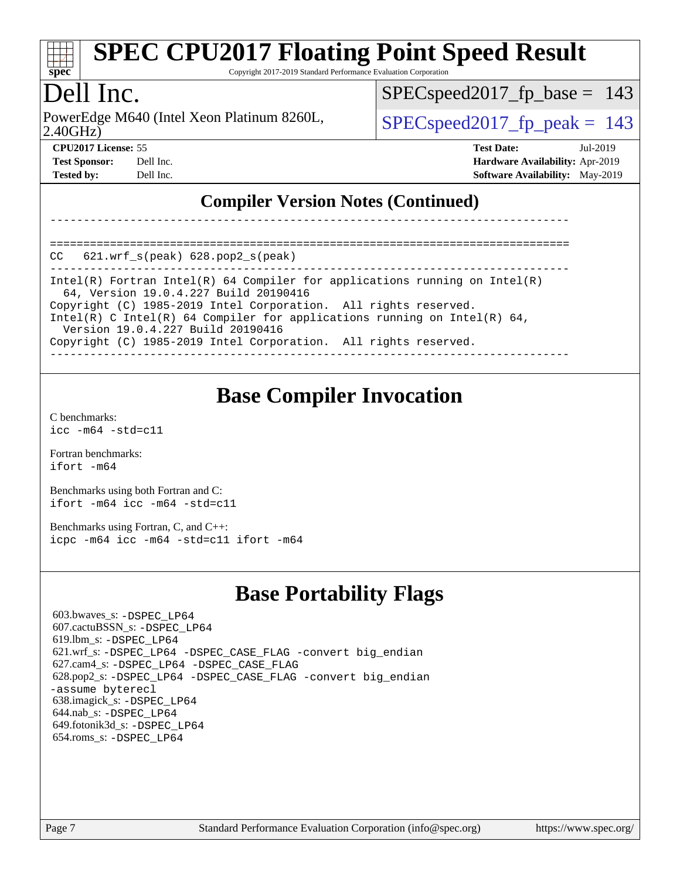

Copyright 2017-2019 Standard Performance Evaluation Corporation

## Dell Inc.

2.40GHz) PowerEdge M640 (Intel Xeon Platinum 8260L,  $\vert$  SPECspeed2017 fp\_peak = 143

SPECspeed2017 fp base =  $143$ 

==============================================================================

| <b>Test Sponsor:</b> Dell Inc. |           | Hardware Availability: Apr-2019        |  |
|--------------------------------|-----------|----------------------------------------|--|
| <b>Tested by:</b>              | Dell Inc. | <b>Software Availability:</b> May-2019 |  |

**[CPU2017 License:](http://www.spec.org/auto/cpu2017/Docs/result-fields.html#CPU2017License)** 55 **[Test Date:](http://www.spec.org/auto/cpu2017/Docs/result-fields.html#TestDate)** Jul-2019 **[Test Sponsor:](http://www.spec.org/auto/cpu2017/Docs/result-fields.html#TestSponsor)** Dell Inc. **[Hardware Availability:](http://www.spec.org/auto/cpu2017/Docs/result-fields.html#HardwareAvailability)** Apr-2019

### **[Compiler Version Notes \(Continued\)](http://www.spec.org/auto/cpu2017/Docs/result-fields.html#CompilerVersionNotes)**

|  | $CC$ $621.wrf_s(peak)$ $628.pop2_s(peak)$ |  |
|--|-------------------------------------------|--|

------------------------------------------------------------------------------

------------------------------------------------------------------------------ Intel(R) Fortran Intel(R) 64 Compiler for applications running on Intel(R) 64, Version 19.0.4.227 Build 20190416 Copyright (C) 1985-2019 Intel Corporation. All rights reserved. Intel(R) C Intel(R) 64 Compiler for applications running on Intel(R) 64, Version 19.0.4.227 Build 20190416 Copyright (C) 1985-2019 Intel Corporation. All rights reserved.

------------------------------------------------------------------------------

**[Base Compiler Invocation](http://www.spec.org/auto/cpu2017/Docs/result-fields.html#BaseCompilerInvocation)**

[C benchmarks](http://www.spec.org/auto/cpu2017/Docs/result-fields.html#Cbenchmarks): [icc -m64 -std=c11](http://www.spec.org/cpu2017/results/res2019q3/cpu2017-20190722-16257.flags.html#user_CCbase_intel_icc_64bit_c11_33ee0cdaae7deeeab2a9725423ba97205ce30f63b9926c2519791662299b76a0318f32ddfffdc46587804de3178b4f9328c46fa7c2b0cd779d7a61945c91cd35)

[Fortran benchmarks](http://www.spec.org/auto/cpu2017/Docs/result-fields.html#Fortranbenchmarks): [ifort -m64](http://www.spec.org/cpu2017/results/res2019q3/cpu2017-20190722-16257.flags.html#user_FCbase_intel_ifort_64bit_24f2bb282fbaeffd6157abe4f878425411749daecae9a33200eee2bee2fe76f3b89351d69a8130dd5949958ce389cf37ff59a95e7a40d588e8d3a57e0c3fd751)

[Benchmarks using both Fortran and C](http://www.spec.org/auto/cpu2017/Docs/result-fields.html#BenchmarksusingbothFortranandC): [ifort -m64](http://www.spec.org/cpu2017/results/res2019q3/cpu2017-20190722-16257.flags.html#user_CC_FCbase_intel_ifort_64bit_24f2bb282fbaeffd6157abe4f878425411749daecae9a33200eee2bee2fe76f3b89351d69a8130dd5949958ce389cf37ff59a95e7a40d588e8d3a57e0c3fd751) [icc -m64 -std=c11](http://www.spec.org/cpu2017/results/res2019q3/cpu2017-20190722-16257.flags.html#user_CC_FCbase_intel_icc_64bit_c11_33ee0cdaae7deeeab2a9725423ba97205ce30f63b9926c2519791662299b76a0318f32ddfffdc46587804de3178b4f9328c46fa7c2b0cd779d7a61945c91cd35)

[Benchmarks using Fortran, C, and C++:](http://www.spec.org/auto/cpu2017/Docs/result-fields.html#BenchmarksusingFortranCandCXX) [icpc -m64](http://www.spec.org/cpu2017/results/res2019q3/cpu2017-20190722-16257.flags.html#user_CC_CXX_FCbase_intel_icpc_64bit_4ecb2543ae3f1412ef961e0650ca070fec7b7afdcd6ed48761b84423119d1bf6bdf5cad15b44d48e7256388bc77273b966e5eb805aefd121eb22e9299b2ec9d9) [icc -m64 -std=c11](http://www.spec.org/cpu2017/results/res2019q3/cpu2017-20190722-16257.flags.html#user_CC_CXX_FCbase_intel_icc_64bit_c11_33ee0cdaae7deeeab2a9725423ba97205ce30f63b9926c2519791662299b76a0318f32ddfffdc46587804de3178b4f9328c46fa7c2b0cd779d7a61945c91cd35) [ifort -m64](http://www.spec.org/cpu2017/results/res2019q3/cpu2017-20190722-16257.flags.html#user_CC_CXX_FCbase_intel_ifort_64bit_24f2bb282fbaeffd6157abe4f878425411749daecae9a33200eee2bee2fe76f3b89351d69a8130dd5949958ce389cf37ff59a95e7a40d588e8d3a57e0c3fd751)

### **[Base Portability Flags](http://www.spec.org/auto/cpu2017/Docs/result-fields.html#BasePortabilityFlags)**

 603.bwaves\_s: [-DSPEC\\_LP64](http://www.spec.org/cpu2017/results/res2019q3/cpu2017-20190722-16257.flags.html#suite_basePORTABILITY603_bwaves_s_DSPEC_LP64) 607.cactuBSSN\_s: [-DSPEC\\_LP64](http://www.spec.org/cpu2017/results/res2019q3/cpu2017-20190722-16257.flags.html#suite_basePORTABILITY607_cactuBSSN_s_DSPEC_LP64) 619.lbm\_s: [-DSPEC\\_LP64](http://www.spec.org/cpu2017/results/res2019q3/cpu2017-20190722-16257.flags.html#suite_basePORTABILITY619_lbm_s_DSPEC_LP64) 621.wrf\_s: [-DSPEC\\_LP64](http://www.spec.org/cpu2017/results/res2019q3/cpu2017-20190722-16257.flags.html#suite_basePORTABILITY621_wrf_s_DSPEC_LP64) [-DSPEC\\_CASE\\_FLAG](http://www.spec.org/cpu2017/results/res2019q3/cpu2017-20190722-16257.flags.html#b621.wrf_s_baseCPORTABILITY_DSPEC_CASE_FLAG) [-convert big\\_endian](http://www.spec.org/cpu2017/results/res2019q3/cpu2017-20190722-16257.flags.html#user_baseFPORTABILITY621_wrf_s_convert_big_endian_c3194028bc08c63ac5d04de18c48ce6d347e4e562e8892b8bdbdc0214820426deb8554edfa529a3fb25a586e65a3d812c835984020483e7e73212c4d31a38223) 627.cam4\_s: [-DSPEC\\_LP64](http://www.spec.org/cpu2017/results/res2019q3/cpu2017-20190722-16257.flags.html#suite_basePORTABILITY627_cam4_s_DSPEC_LP64) [-DSPEC\\_CASE\\_FLAG](http://www.spec.org/cpu2017/results/res2019q3/cpu2017-20190722-16257.flags.html#b627.cam4_s_baseCPORTABILITY_DSPEC_CASE_FLAG) 628.pop2\_s: [-DSPEC\\_LP64](http://www.spec.org/cpu2017/results/res2019q3/cpu2017-20190722-16257.flags.html#suite_basePORTABILITY628_pop2_s_DSPEC_LP64) [-DSPEC\\_CASE\\_FLAG](http://www.spec.org/cpu2017/results/res2019q3/cpu2017-20190722-16257.flags.html#b628.pop2_s_baseCPORTABILITY_DSPEC_CASE_FLAG) [-convert big\\_endian](http://www.spec.org/cpu2017/results/res2019q3/cpu2017-20190722-16257.flags.html#user_baseFPORTABILITY628_pop2_s_convert_big_endian_c3194028bc08c63ac5d04de18c48ce6d347e4e562e8892b8bdbdc0214820426deb8554edfa529a3fb25a586e65a3d812c835984020483e7e73212c4d31a38223) [-assume byterecl](http://www.spec.org/cpu2017/results/res2019q3/cpu2017-20190722-16257.flags.html#user_baseFPORTABILITY628_pop2_s_assume_byterecl_7e47d18b9513cf18525430bbf0f2177aa9bf368bc7a059c09b2c06a34b53bd3447c950d3f8d6c70e3faf3a05c8557d66a5798b567902e8849adc142926523472) 638.imagick\_s: [-DSPEC\\_LP64](http://www.spec.org/cpu2017/results/res2019q3/cpu2017-20190722-16257.flags.html#suite_basePORTABILITY638_imagick_s_DSPEC_LP64) 644.nab\_s: [-DSPEC\\_LP64](http://www.spec.org/cpu2017/results/res2019q3/cpu2017-20190722-16257.flags.html#suite_basePORTABILITY644_nab_s_DSPEC_LP64) 649.fotonik3d\_s: [-DSPEC\\_LP64](http://www.spec.org/cpu2017/results/res2019q3/cpu2017-20190722-16257.flags.html#suite_basePORTABILITY649_fotonik3d_s_DSPEC_LP64) 654.roms\_s: [-DSPEC\\_LP64](http://www.spec.org/cpu2017/results/res2019q3/cpu2017-20190722-16257.flags.html#suite_basePORTABILITY654_roms_s_DSPEC_LP64)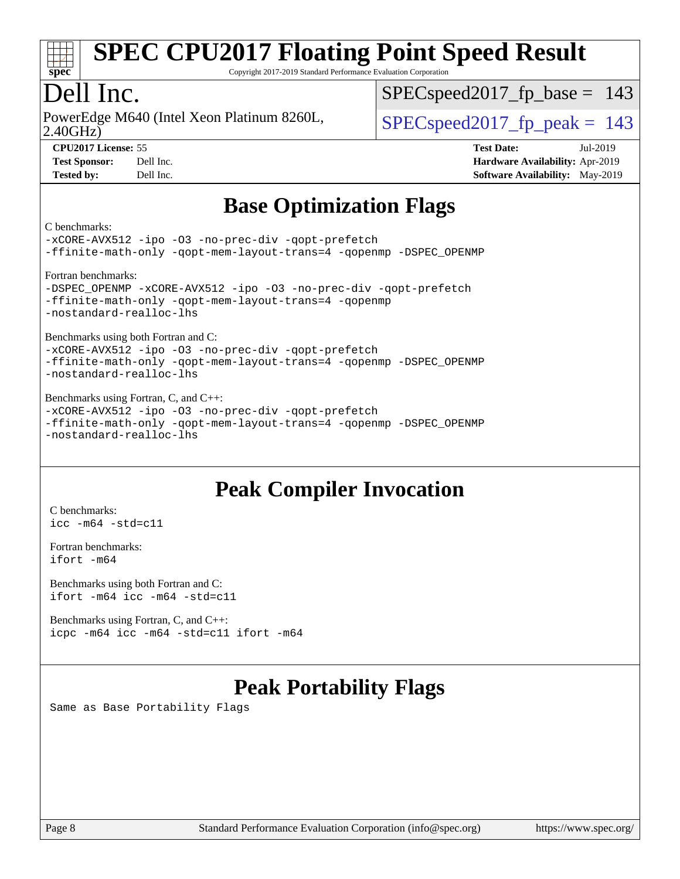

Copyright 2017-2019 Standard Performance Evaluation Corporation

## Dell Inc.

2.40GHz) PowerEdge M640 (Intel Xeon Platinum 8260L,  $\vert$  SPECspeed2017 fp\_peak = 143

 $SPEC speed2017_fp\_base = 143$ 

**[CPU2017 License:](http://www.spec.org/auto/cpu2017/Docs/result-fields.html#CPU2017License)** 55 **[Test Date:](http://www.spec.org/auto/cpu2017/Docs/result-fields.html#TestDate)** Jul-2019

**[Test Sponsor:](http://www.spec.org/auto/cpu2017/Docs/result-fields.html#TestSponsor)** Dell Inc. **[Hardware Availability:](http://www.spec.org/auto/cpu2017/Docs/result-fields.html#HardwareAvailability)** Apr-2019 **[Tested by:](http://www.spec.org/auto/cpu2017/Docs/result-fields.html#Testedby)** Dell Inc. **[Software Availability:](http://www.spec.org/auto/cpu2017/Docs/result-fields.html#SoftwareAvailability)** May-2019

### **[Base Optimization Flags](http://www.spec.org/auto/cpu2017/Docs/result-fields.html#BaseOptimizationFlags)**

[C benchmarks:](http://www.spec.org/auto/cpu2017/Docs/result-fields.html#Cbenchmarks)

```
-xCORE-AVX512 -ipo -O3 -no-prec-div -qopt-prefetch
-ffinite-math-only -qopt-mem-layout-trans=4 -qopenmp -DSPEC_OPENMP
Fortran benchmarks: 
-xCORE-AVX512-ipo-O3-no-prec-div-qopt-prefetch
-ffinite-math-only -qopt-mem-layout-trans=4 -qopenmp
-nostandard-realloc-lhs
Benchmarks using both Fortran and C: 
-xCORE-AVX512 -ipo -O3 -no-prec-div -qopt-prefetch
-ffinite-math-only -qopt-mem-layout-trans=4 -qopenmp -DSPEC_OPENMP
-nostandard-realloc-lhs
Benchmarks using Fortran, C, and C++: 
-xCORE-AVX512 -ipo -O3 -no-prec-div -qopt-prefetch
-ffinite-math-only -qopt-mem-layout-trans=4 -qopenmp -DSPEC_OPENMP
-nostandard-realloc-lhs
```
## **[Peak Compiler Invocation](http://www.spec.org/auto/cpu2017/Docs/result-fields.html#PeakCompilerInvocation)**

[C benchmarks](http://www.spec.org/auto/cpu2017/Docs/result-fields.html#Cbenchmarks): [icc -m64 -std=c11](http://www.spec.org/cpu2017/results/res2019q3/cpu2017-20190722-16257.flags.html#user_CCpeak_intel_icc_64bit_c11_33ee0cdaae7deeeab2a9725423ba97205ce30f63b9926c2519791662299b76a0318f32ddfffdc46587804de3178b4f9328c46fa7c2b0cd779d7a61945c91cd35)

[Fortran benchmarks](http://www.spec.org/auto/cpu2017/Docs/result-fields.html#Fortranbenchmarks): [ifort -m64](http://www.spec.org/cpu2017/results/res2019q3/cpu2017-20190722-16257.flags.html#user_FCpeak_intel_ifort_64bit_24f2bb282fbaeffd6157abe4f878425411749daecae9a33200eee2bee2fe76f3b89351d69a8130dd5949958ce389cf37ff59a95e7a40d588e8d3a57e0c3fd751)

[Benchmarks using both Fortran and C](http://www.spec.org/auto/cpu2017/Docs/result-fields.html#BenchmarksusingbothFortranandC): [ifort -m64](http://www.spec.org/cpu2017/results/res2019q3/cpu2017-20190722-16257.flags.html#user_CC_FCpeak_intel_ifort_64bit_24f2bb282fbaeffd6157abe4f878425411749daecae9a33200eee2bee2fe76f3b89351d69a8130dd5949958ce389cf37ff59a95e7a40d588e8d3a57e0c3fd751) [icc -m64 -std=c11](http://www.spec.org/cpu2017/results/res2019q3/cpu2017-20190722-16257.flags.html#user_CC_FCpeak_intel_icc_64bit_c11_33ee0cdaae7deeeab2a9725423ba97205ce30f63b9926c2519791662299b76a0318f32ddfffdc46587804de3178b4f9328c46fa7c2b0cd779d7a61945c91cd35)

[Benchmarks using Fortran, C, and C++:](http://www.spec.org/auto/cpu2017/Docs/result-fields.html#BenchmarksusingFortranCandCXX) [icpc -m64](http://www.spec.org/cpu2017/results/res2019q3/cpu2017-20190722-16257.flags.html#user_CC_CXX_FCpeak_intel_icpc_64bit_4ecb2543ae3f1412ef961e0650ca070fec7b7afdcd6ed48761b84423119d1bf6bdf5cad15b44d48e7256388bc77273b966e5eb805aefd121eb22e9299b2ec9d9) [icc -m64 -std=c11](http://www.spec.org/cpu2017/results/res2019q3/cpu2017-20190722-16257.flags.html#user_CC_CXX_FCpeak_intel_icc_64bit_c11_33ee0cdaae7deeeab2a9725423ba97205ce30f63b9926c2519791662299b76a0318f32ddfffdc46587804de3178b4f9328c46fa7c2b0cd779d7a61945c91cd35) [ifort -m64](http://www.spec.org/cpu2017/results/res2019q3/cpu2017-20190722-16257.flags.html#user_CC_CXX_FCpeak_intel_ifort_64bit_24f2bb282fbaeffd6157abe4f878425411749daecae9a33200eee2bee2fe76f3b89351d69a8130dd5949958ce389cf37ff59a95e7a40d588e8d3a57e0c3fd751)

## **[Peak Portability Flags](http://www.spec.org/auto/cpu2017/Docs/result-fields.html#PeakPortabilityFlags)**

Same as Base Portability Flags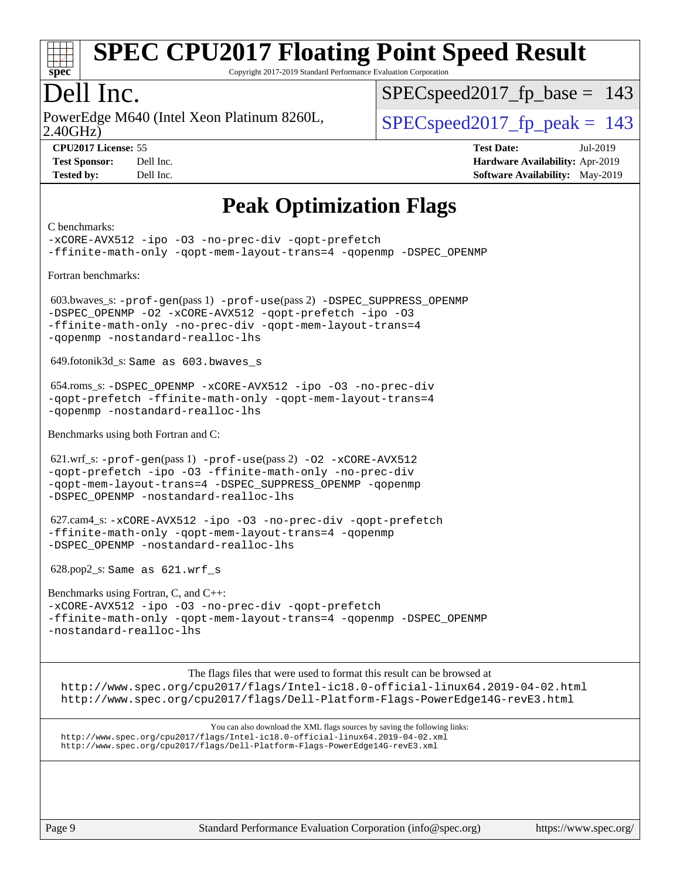

Copyright 2017-2019 Standard Performance Evaluation Corporation

### Dell Inc.

2.40GHz) PowerEdge M640 (Intel Xeon Platinum 8260L,  $\vert$  SPECspeed2017 fp\_peak = 143

SPECspeed2017 fp base =  $143$ 

**[CPU2017 License:](http://www.spec.org/auto/cpu2017/Docs/result-fields.html#CPU2017License)** 55 **[Test Date:](http://www.spec.org/auto/cpu2017/Docs/result-fields.html#TestDate)** Jul-2019 **[Test Sponsor:](http://www.spec.org/auto/cpu2017/Docs/result-fields.html#TestSponsor)** Dell Inc. **[Hardware Availability:](http://www.spec.org/auto/cpu2017/Docs/result-fields.html#HardwareAvailability)** Apr-2019 **[Tested by:](http://www.spec.org/auto/cpu2017/Docs/result-fields.html#Testedby)** Dell Inc. **[Software Availability:](http://www.spec.org/auto/cpu2017/Docs/result-fields.html#SoftwareAvailability)** May-2019

### **[Peak Optimization Flags](http://www.spec.org/auto/cpu2017/Docs/result-fields.html#PeakOptimizationFlags)**

#### [C benchmarks:](http://www.spec.org/auto/cpu2017/Docs/result-fields.html#Cbenchmarks) [-xCORE-AVX512](http://www.spec.org/cpu2017/results/res2019q3/cpu2017-20190722-16257.flags.html#user_CCpeak_f-xCORE-AVX512) [-ipo](http://www.spec.org/cpu2017/results/res2019q3/cpu2017-20190722-16257.flags.html#user_CCpeak_f-ipo) [-O3](http://www.spec.org/cpu2017/results/res2019q3/cpu2017-20190722-16257.flags.html#user_CCpeak_f-O3) [-no-prec-div](http://www.spec.org/cpu2017/results/res2019q3/cpu2017-20190722-16257.flags.html#user_CCpeak_f-no-prec-div) [-qopt-prefetch](http://www.spec.org/cpu2017/results/res2019q3/cpu2017-20190722-16257.flags.html#user_CCpeak_f-qopt-prefetch) [-ffinite-math-only](http://www.spec.org/cpu2017/results/res2019q3/cpu2017-20190722-16257.flags.html#user_CCpeak_f_finite_math_only_cb91587bd2077682c4b38af759c288ed7c732db004271a9512da14a4f8007909a5f1427ecbf1a0fb78ff2a814402c6114ac565ca162485bbcae155b5e4258871) [-qopt-mem-layout-trans=4](http://www.spec.org/cpu2017/results/res2019q3/cpu2017-20190722-16257.flags.html#user_CCpeak_f-qopt-mem-layout-trans_fa39e755916c150a61361b7846f310bcdf6f04e385ef281cadf3647acec3f0ae266d1a1d22d972a7087a248fd4e6ca390a3634700869573d231a252c784941a8) [-qopenmp](http://www.spec.org/cpu2017/results/res2019q3/cpu2017-20190722-16257.flags.html#user_CCpeak_qopenmp_16be0c44f24f464004c6784a7acb94aca937f053568ce72f94b139a11c7c168634a55f6653758ddd83bcf7b8463e8028bb0b48b77bcddc6b78d5d95bb1df2967) [-DSPEC\\_OPENMP](http://www.spec.org/cpu2017/results/res2019q3/cpu2017-20190722-16257.flags.html#suite_CCpeak_DSPEC_OPENMP) [Fortran benchmarks](http://www.spec.org/auto/cpu2017/Docs/result-fields.html#Fortranbenchmarks): 603.bwaves\_s: [-prof-gen](http://www.spec.org/cpu2017/results/res2019q3/cpu2017-20190722-16257.flags.html#user_peakPASS1_FFLAGSPASS1_LDFLAGS603_bwaves_s_prof_gen_5aa4926d6013ddb2a31985c654b3eb18169fc0c6952a63635c234f711e6e63dd76e94ad52365559451ec499a2cdb89e4dc58ba4c67ef54ca681ffbe1461d6b36)(pass 1) [-prof-use](http://www.spec.org/cpu2017/results/res2019q3/cpu2017-20190722-16257.flags.html#user_peakPASS2_FFLAGSPASS2_LDFLAGS603_bwaves_s_prof_use_1a21ceae95f36a2b53c25747139a6c16ca95bd9def2a207b4f0849963b97e94f5260e30a0c64f4bb623698870e679ca08317ef8150905d41bd88c6f78df73f19)(pass 2) [-DSPEC\\_SUPPRESS\\_OPENMP](http://www.spec.org/cpu2017/results/res2019q3/cpu2017-20190722-16257.flags.html#suite_peakPASS1_FOPTIMIZE603_bwaves_s_DSPEC_SUPPRESS_OPENMP) [-DSPEC\\_OPENMP](http://www.spec.org/cpu2017/results/res2019q3/cpu2017-20190722-16257.flags.html#suite_peakPASS2_FOPTIMIZE603_bwaves_s_DSPEC_OPENMP) [-O2](http://www.spec.org/cpu2017/results/res2019q3/cpu2017-20190722-16257.flags.html#user_peakPASS1_FOPTIMIZE603_bwaves_s_f-O2) [-xCORE-AVX512](http://www.spec.org/cpu2017/results/res2019q3/cpu2017-20190722-16257.flags.html#user_peakPASS2_FOPTIMIZE603_bwaves_s_f-xCORE-AVX512) [-qopt-prefetch](http://www.spec.org/cpu2017/results/res2019q3/cpu2017-20190722-16257.flags.html#user_peakPASS1_FOPTIMIZEPASS2_FOPTIMIZE603_bwaves_s_f-qopt-prefetch) [-ipo](http://www.spec.org/cpu2017/results/res2019q3/cpu2017-20190722-16257.flags.html#user_peakPASS2_FOPTIMIZE603_bwaves_s_f-ipo) [-O3](http://www.spec.org/cpu2017/results/res2019q3/cpu2017-20190722-16257.flags.html#user_peakPASS2_FOPTIMIZE603_bwaves_s_f-O3) [-ffinite-math-only](http://www.spec.org/cpu2017/results/res2019q3/cpu2017-20190722-16257.flags.html#user_peakPASS1_FOPTIMIZEPASS2_FOPTIMIZE603_bwaves_s_f_finite_math_only_cb91587bd2077682c4b38af759c288ed7c732db004271a9512da14a4f8007909a5f1427ecbf1a0fb78ff2a814402c6114ac565ca162485bbcae155b5e4258871) [-no-prec-div](http://www.spec.org/cpu2017/results/res2019q3/cpu2017-20190722-16257.flags.html#user_peakPASS2_FOPTIMIZE603_bwaves_s_f-no-prec-div) [-qopt-mem-layout-trans=4](http://www.spec.org/cpu2017/results/res2019q3/cpu2017-20190722-16257.flags.html#user_peakPASS1_FOPTIMIZEPASS2_FOPTIMIZE603_bwaves_s_f-qopt-mem-layout-trans_fa39e755916c150a61361b7846f310bcdf6f04e385ef281cadf3647acec3f0ae266d1a1d22d972a7087a248fd4e6ca390a3634700869573d231a252c784941a8) [-qopenmp](http://www.spec.org/cpu2017/results/res2019q3/cpu2017-20190722-16257.flags.html#user_peakPASS2_FOPTIMIZE603_bwaves_s_qopenmp_16be0c44f24f464004c6784a7acb94aca937f053568ce72f94b139a11c7c168634a55f6653758ddd83bcf7b8463e8028bb0b48b77bcddc6b78d5d95bb1df2967) [-nostandard-realloc-lhs](http://www.spec.org/cpu2017/results/res2019q3/cpu2017-20190722-16257.flags.html#user_peakEXTRA_FOPTIMIZE603_bwaves_s_f_2003_std_realloc_82b4557e90729c0f113870c07e44d33d6f5a304b4f63d4c15d2d0f1fab99f5daaed73bdb9275d9ae411527f28b936061aa8b9c8f2d63842963b95c9dd6426b8a) 649.fotonik3d\_s: Same as 603.bwaves\_s 654.roms\_s: [-DSPEC\\_OPENMP](http://www.spec.org/cpu2017/results/res2019q3/cpu2017-20190722-16257.flags.html#suite_peakFOPTIMIZE654_roms_s_DSPEC_OPENMP) [-xCORE-AVX512](http://www.spec.org/cpu2017/results/res2019q3/cpu2017-20190722-16257.flags.html#user_peakFOPTIMIZE654_roms_s_f-xCORE-AVX512) [-ipo](http://www.spec.org/cpu2017/results/res2019q3/cpu2017-20190722-16257.flags.html#user_peakFOPTIMIZE654_roms_s_f-ipo) [-O3](http://www.spec.org/cpu2017/results/res2019q3/cpu2017-20190722-16257.flags.html#user_peakFOPTIMIZE654_roms_s_f-O3) [-no-prec-div](http://www.spec.org/cpu2017/results/res2019q3/cpu2017-20190722-16257.flags.html#user_peakFOPTIMIZE654_roms_s_f-no-prec-div) [-qopt-prefetch](http://www.spec.org/cpu2017/results/res2019q3/cpu2017-20190722-16257.flags.html#user_peakFOPTIMIZE654_roms_s_f-qopt-prefetch) [-ffinite-math-only](http://www.spec.org/cpu2017/results/res2019q3/cpu2017-20190722-16257.flags.html#user_peakFOPTIMIZE654_roms_s_f_finite_math_only_cb91587bd2077682c4b38af759c288ed7c732db004271a9512da14a4f8007909a5f1427ecbf1a0fb78ff2a814402c6114ac565ca162485bbcae155b5e4258871) [-qopt-mem-layout-trans=4](http://www.spec.org/cpu2017/results/res2019q3/cpu2017-20190722-16257.flags.html#user_peakFOPTIMIZE654_roms_s_f-qopt-mem-layout-trans_fa39e755916c150a61361b7846f310bcdf6f04e385ef281cadf3647acec3f0ae266d1a1d22d972a7087a248fd4e6ca390a3634700869573d231a252c784941a8) [-qopenmp](http://www.spec.org/cpu2017/results/res2019q3/cpu2017-20190722-16257.flags.html#user_peakFOPTIMIZE654_roms_s_qopenmp_16be0c44f24f464004c6784a7acb94aca937f053568ce72f94b139a11c7c168634a55f6653758ddd83bcf7b8463e8028bb0b48b77bcddc6b78d5d95bb1df2967) [-nostandard-realloc-lhs](http://www.spec.org/cpu2017/results/res2019q3/cpu2017-20190722-16257.flags.html#user_peakEXTRA_FOPTIMIZE654_roms_s_f_2003_std_realloc_82b4557e90729c0f113870c07e44d33d6f5a304b4f63d4c15d2d0f1fab99f5daaed73bdb9275d9ae411527f28b936061aa8b9c8f2d63842963b95c9dd6426b8a) [Benchmarks using both Fortran and C:](http://www.spec.org/auto/cpu2017/Docs/result-fields.html#BenchmarksusingbothFortranandC) 621.wrf\_s: [-prof-gen](http://www.spec.org/cpu2017/results/res2019q3/cpu2017-20190722-16257.flags.html#user_peakPASS1_CFLAGSPASS1_FFLAGSPASS1_LDFLAGS621_wrf_s_prof_gen_5aa4926d6013ddb2a31985c654b3eb18169fc0c6952a63635c234f711e6e63dd76e94ad52365559451ec499a2cdb89e4dc58ba4c67ef54ca681ffbe1461d6b36)(pass 1) [-prof-use](http://www.spec.org/cpu2017/results/res2019q3/cpu2017-20190722-16257.flags.html#user_peakPASS2_CFLAGSPASS2_FFLAGSPASS2_LDFLAGS621_wrf_s_prof_use_1a21ceae95f36a2b53c25747139a6c16ca95bd9def2a207b4f0849963b97e94f5260e30a0c64f4bb623698870e679ca08317ef8150905d41bd88c6f78df73f19)(pass 2) [-O2](http://www.spec.org/cpu2017/results/res2019q3/cpu2017-20190722-16257.flags.html#user_peakPASS1_COPTIMIZEPASS1_FOPTIMIZE621_wrf_s_f-O2) [-xCORE-AVX512](http://www.spec.org/cpu2017/results/res2019q3/cpu2017-20190722-16257.flags.html#user_peakPASS2_COPTIMIZEPASS2_FOPTIMIZE621_wrf_s_f-xCORE-AVX512) [-qopt-prefetch](http://www.spec.org/cpu2017/results/res2019q3/cpu2017-20190722-16257.flags.html#user_peakPASS1_COPTIMIZEPASS1_FOPTIMIZEPASS2_COPTIMIZEPASS2_FOPTIMIZE621_wrf_s_f-qopt-prefetch) [-ipo](http://www.spec.org/cpu2017/results/res2019q3/cpu2017-20190722-16257.flags.html#user_peakPASS2_COPTIMIZEPASS2_FOPTIMIZE621_wrf_s_f-ipo) [-O3](http://www.spec.org/cpu2017/results/res2019q3/cpu2017-20190722-16257.flags.html#user_peakPASS2_COPTIMIZEPASS2_FOPTIMIZE621_wrf_s_f-O3) [-ffinite-math-only](http://www.spec.org/cpu2017/results/res2019q3/cpu2017-20190722-16257.flags.html#user_peakPASS1_COPTIMIZEPASS1_FOPTIMIZEPASS2_COPTIMIZEPASS2_FOPTIMIZE621_wrf_s_f_finite_math_only_cb91587bd2077682c4b38af759c288ed7c732db004271a9512da14a4f8007909a5f1427ecbf1a0fb78ff2a814402c6114ac565ca162485bbcae155b5e4258871) [-no-prec-div](http://www.spec.org/cpu2017/results/res2019q3/cpu2017-20190722-16257.flags.html#user_peakPASS2_COPTIMIZEPASS2_FOPTIMIZE621_wrf_s_f-no-prec-div) [-qopt-mem-layout-trans=4](http://www.spec.org/cpu2017/results/res2019q3/cpu2017-20190722-16257.flags.html#user_peakPASS1_COPTIMIZEPASS1_FOPTIMIZEPASS2_COPTIMIZEPASS2_FOPTIMIZE621_wrf_s_f-qopt-mem-layout-trans_fa39e755916c150a61361b7846f310bcdf6f04e385ef281cadf3647acec3f0ae266d1a1d22d972a7087a248fd4e6ca390a3634700869573d231a252c784941a8) [-DSPEC\\_SUPPRESS\\_OPENMP](http://www.spec.org/cpu2017/results/res2019q3/cpu2017-20190722-16257.flags.html#suite_peakPASS1_COPTIMIZEPASS1_FOPTIMIZE621_wrf_s_DSPEC_SUPPRESS_OPENMP) [-qopenmp](http://www.spec.org/cpu2017/results/res2019q3/cpu2017-20190722-16257.flags.html#user_peakPASS2_COPTIMIZEPASS2_FOPTIMIZE621_wrf_s_qopenmp_16be0c44f24f464004c6784a7acb94aca937f053568ce72f94b139a11c7c168634a55f6653758ddd83bcf7b8463e8028bb0b48b77bcddc6b78d5d95bb1df2967) [-DSPEC\\_OPENMP](http://www.spec.org/cpu2017/results/res2019q3/cpu2017-20190722-16257.flags.html#suite_peakPASS2_COPTIMIZEPASS2_FOPTIMIZE621_wrf_s_DSPEC_OPENMP) [-nostandard-realloc-lhs](http://www.spec.org/cpu2017/results/res2019q3/cpu2017-20190722-16257.flags.html#user_peakEXTRA_FOPTIMIZE621_wrf_s_f_2003_std_realloc_82b4557e90729c0f113870c07e44d33d6f5a304b4f63d4c15d2d0f1fab99f5daaed73bdb9275d9ae411527f28b936061aa8b9c8f2d63842963b95c9dd6426b8a) 627.cam4\_s: [-xCORE-AVX512](http://www.spec.org/cpu2017/results/res2019q3/cpu2017-20190722-16257.flags.html#user_peakCOPTIMIZEFOPTIMIZE627_cam4_s_f-xCORE-AVX512) [-ipo](http://www.spec.org/cpu2017/results/res2019q3/cpu2017-20190722-16257.flags.html#user_peakCOPTIMIZEFOPTIMIZE627_cam4_s_f-ipo) [-O3](http://www.spec.org/cpu2017/results/res2019q3/cpu2017-20190722-16257.flags.html#user_peakCOPTIMIZEFOPTIMIZE627_cam4_s_f-O3) [-no-prec-div](http://www.spec.org/cpu2017/results/res2019q3/cpu2017-20190722-16257.flags.html#user_peakCOPTIMIZEFOPTIMIZE627_cam4_s_f-no-prec-div) [-qopt-prefetch](http://www.spec.org/cpu2017/results/res2019q3/cpu2017-20190722-16257.flags.html#user_peakCOPTIMIZEFOPTIMIZE627_cam4_s_f-qopt-prefetch) [-ffinite-math-only](http://www.spec.org/cpu2017/results/res2019q3/cpu2017-20190722-16257.flags.html#user_peakCOPTIMIZEFOPTIMIZE627_cam4_s_f_finite_math_only_cb91587bd2077682c4b38af759c288ed7c732db004271a9512da14a4f8007909a5f1427ecbf1a0fb78ff2a814402c6114ac565ca162485bbcae155b5e4258871) [-qopt-mem-layout-trans=4](http://www.spec.org/cpu2017/results/res2019q3/cpu2017-20190722-16257.flags.html#user_peakCOPTIMIZEFOPTIMIZE627_cam4_s_f-qopt-mem-layout-trans_fa39e755916c150a61361b7846f310bcdf6f04e385ef281cadf3647acec3f0ae266d1a1d22d972a7087a248fd4e6ca390a3634700869573d231a252c784941a8) [-qopenmp](http://www.spec.org/cpu2017/results/res2019q3/cpu2017-20190722-16257.flags.html#user_peakCOPTIMIZEFOPTIMIZE627_cam4_s_qopenmp_16be0c44f24f464004c6784a7acb94aca937f053568ce72f94b139a11c7c168634a55f6653758ddd83bcf7b8463e8028bb0b48b77bcddc6b78d5d95bb1df2967) [-DSPEC\\_OPENMP](http://www.spec.org/cpu2017/results/res2019q3/cpu2017-20190722-16257.flags.html#suite_peakCOPTIMIZEFOPTIMIZE627_cam4_s_DSPEC_OPENMP) [-nostandard-realloc-lhs](http://www.spec.org/cpu2017/results/res2019q3/cpu2017-20190722-16257.flags.html#user_peakEXTRA_FOPTIMIZE627_cam4_s_f_2003_std_realloc_82b4557e90729c0f113870c07e44d33d6f5a304b4f63d4c15d2d0f1fab99f5daaed73bdb9275d9ae411527f28b936061aa8b9c8f2d63842963b95c9dd6426b8a) 628.pop2\_s: Same as 621.wrf\_s [Benchmarks using Fortran, C, and C++:](http://www.spec.org/auto/cpu2017/Docs/result-fields.html#BenchmarksusingFortranCandCXX) [-xCORE-AVX512](http://www.spec.org/cpu2017/results/res2019q3/cpu2017-20190722-16257.flags.html#user_CC_CXX_FCpeak_f-xCORE-AVX512) [-ipo](http://www.spec.org/cpu2017/results/res2019q3/cpu2017-20190722-16257.flags.html#user_CC_CXX_FCpeak_f-ipo) [-O3](http://www.spec.org/cpu2017/results/res2019q3/cpu2017-20190722-16257.flags.html#user_CC_CXX_FCpeak_f-O3) [-no-prec-div](http://www.spec.org/cpu2017/results/res2019q3/cpu2017-20190722-16257.flags.html#user_CC_CXX_FCpeak_f-no-prec-div) [-qopt-prefetch](http://www.spec.org/cpu2017/results/res2019q3/cpu2017-20190722-16257.flags.html#user_CC_CXX_FCpeak_f-qopt-prefetch) [-ffinite-math-only](http://www.spec.org/cpu2017/results/res2019q3/cpu2017-20190722-16257.flags.html#user_CC_CXX_FCpeak_f_finite_math_only_cb91587bd2077682c4b38af759c288ed7c732db004271a9512da14a4f8007909a5f1427ecbf1a0fb78ff2a814402c6114ac565ca162485bbcae155b5e4258871) [-qopt-mem-layout-trans=4](http://www.spec.org/cpu2017/results/res2019q3/cpu2017-20190722-16257.flags.html#user_CC_CXX_FCpeak_f-qopt-mem-layout-trans_fa39e755916c150a61361b7846f310bcdf6f04e385ef281cadf3647acec3f0ae266d1a1d22d972a7087a248fd4e6ca390a3634700869573d231a252c784941a8) [-qopenmp](http://www.spec.org/cpu2017/results/res2019q3/cpu2017-20190722-16257.flags.html#user_CC_CXX_FCpeak_qopenmp_16be0c44f24f464004c6784a7acb94aca937f053568ce72f94b139a11c7c168634a55f6653758ddd83bcf7b8463e8028bb0b48b77bcddc6b78d5d95bb1df2967) [-DSPEC\\_OPENMP](http://www.spec.org/cpu2017/results/res2019q3/cpu2017-20190722-16257.flags.html#suite_CC_CXX_FCpeak_DSPEC_OPENMP) [-nostandard-realloc-lhs](http://www.spec.org/cpu2017/results/res2019q3/cpu2017-20190722-16257.flags.html#user_CC_CXX_FCpeak_f_2003_std_realloc_82b4557e90729c0f113870c07e44d33d6f5a304b4f63d4c15d2d0f1fab99f5daaed73bdb9275d9ae411527f28b936061aa8b9c8f2d63842963b95c9dd6426b8a) The flags files that were used to format this result can be browsed at <http://www.spec.org/cpu2017/flags/Intel-ic18.0-official-linux64.2019-04-02.html> <http://www.spec.org/cpu2017/flags/Dell-Platform-Flags-PowerEdge14G-revE3.html>

You can also download the XML flags sources by saving the following links: <http://www.spec.org/cpu2017/flags/Intel-ic18.0-official-linux64.2019-04-02.xml> <http://www.spec.org/cpu2017/flags/Dell-Platform-Flags-PowerEdge14G-revE3.xml>